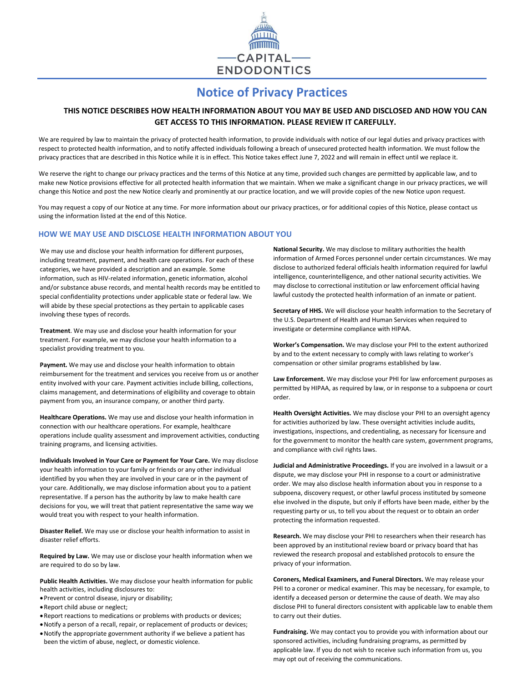

# **Notice of Privacy Practices**

# **THIS NOTICE DESCRIBES HOW HEALTH INFORMATION ABOUT YOU MAY BE USED AND DISCLOSED AND HOW YOU CAN GET ACCESS TO THIS INFORMATION. PLEASE REVIEW IT CAREFULLY.**

We are required by law to maintain the privacy of protected health information, to provide individuals with notice of our legal duties and privacy practices with respect to protected health information, and to notify affected individuals following a breach of unsecured protected health information. We must follow the privacy practices that are described in this Notice while it is in effect. This Notice takes effect June 7, 2022 and will remain in effect until we replace it.

We reserve the right to change our privacy practices and the terms of this Notice at any time, provided such changes are permitted by applicable law, and to make new Notice provisions effective for all protected health information that we maintain. When we make a significant change in our privacy practices, we will change this Notice and post the new Notice clearly and prominently at our practice location, and we will provide copies of the new Notice upon request.

You may request a copy of our Notice at any time. For more information about our privacy practices, or for additional copies of this Notice, please contact us using the information listed at the end of this Notice.

## **HOW WE MAY USE AND DISCLOSE HEALTH INFORMATION ABOUT YOU**

We may use and disclose your health information for different purposes, including treatment, payment, and health care operations. For each of these categories, we have provided a description and an example. Some information, such as HIV-related information, genetic information, alcohol and/or substance abuse records, and mental health records may be entitled to special confidentiality protections under applicable state or federal law. We will abide by these special protections as they pertain to applicable cases involving these types of records.

**Treatment**. We may use and disclose your health information for your treatment. For example, we may disclose your health information to a specialist providing treatment to you.

**Payment.** We may use and disclose your health information to obtain reimbursement for the treatment and services you receive from us or another entity involved with your care. Payment activities include billing, collections, claims management, and determinations of eligibility and coverage to obtain payment from you, an insurance company, or another third party.

**Healthcare Operations.** We may use and disclose your health information in connection with our healthcare operations. For example, healthcare operations include quality assessment and improvement activities, conducting training programs, and licensing activities.

**Individuals Involved in Your Care or Payment for Your Care.** We may disclose your health information to your family or friends or any other individual identified by you when they are involved in your care or in the payment of your care. Additionally, we may disclose information about you to a patient representative. If a person has the authority by law to make health care decisions for you, we will treat that patient representative the same way we would treat you with respect to your health information.

**Disaster Relief.** We may use or disclose your health information to assist in disaster relief efforts.

**Required by Law.** We may use or disclose your health information when we are required to do so by law.

**Public Health Activities.** We may disclose your health information for public health activities, including disclosures to:

- •Prevent or control disease, injury or disability;
- •Report child abuse or neglect;
- •Report reactions to medications or problems with products or devices;
- •Notify a person of a recall, repair, or replacement of products or devices;
- •Notify the appropriate government authority if we believe a patient has been the victim of abuse, neglect, or domestic violence.

**National Security.** We may disclose to military authorities the health information of Armed Forces personnel under certain circumstances. We may disclose to authorized federal officials health information required for lawful intelligence, counterintelligence, and other national security activities. We may disclose to correctional institution or law enforcement official having lawful custody the protected health information of an inmate or patient.

**Secretary of HHS.** We will disclose your health information to the Secretary of the U.S. Department of Health and Human Services when required to investigate or determine compliance with HIPAA.

**Worker's Compensation.** We may disclose your PHI to the extent authorized by and to the extent necessary to comply with laws relating to worker's compensation or other similar programs established by law.

**Law Enforcement.** We may disclose your PHI for law enforcement purposes as permitted by HIPAA, as required by law, or in response to a subpoena or court order.

**Health Oversight Activities.** We may disclose your PHI to an oversight agency for activities authorized by law. These oversight activities include audits, investigations, inspections, and credentialing, as necessary for licensure and for the government to monitor the health care system, government programs, and compliance with civil rights laws.

**Judicial and Administrative Proceedings.** If you are involved in a lawsuit or a dispute, we may disclose your PHI in response to a court or administrative order. We may also disclose health information about you in response to a subpoena, discovery request, or other lawful process instituted by someone else involved in the dispute, but only if efforts have been made, either by the requesting party or us, to tell you about the request or to obtain an order protecting the information requested.

**Research.** We may disclose your PHI to researchers when their research has been approved by an institutional review board or privacy board that has reviewed the research proposal and established protocols to ensure the privacy of your information.

**Coroners, Medical Examiners, and Funeral Directors.** We may release your PHI to a coroner or medical examiner. This may be necessary, for example, to identify a deceased person or determine the cause of death. We may also disclose PHI to funeral directors consistent with applicable law to enable them to carry out their duties.

**Fundraising.** We may contact you to provide you with information about our sponsored activities, including fundraising programs, as permitted by applicable law. If you do not wish to receive such information from us, you may opt out of receiving the communications.